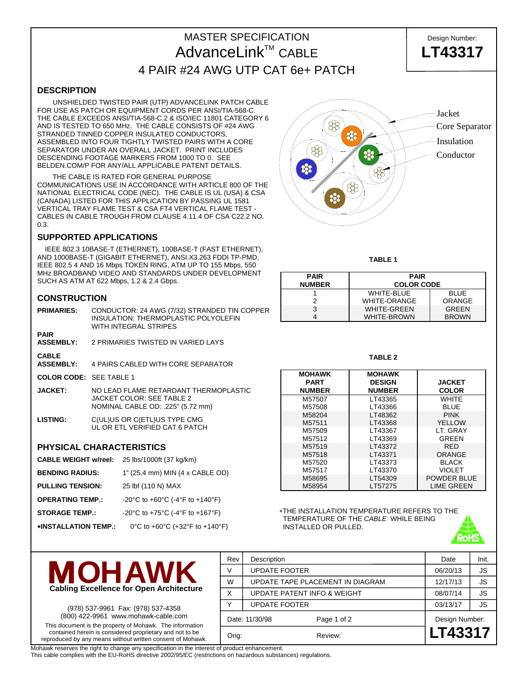# MASTER SPECIFICATION **Design Number:** AdvanceLink<sup>™</sup> CABLE **LT43317** 4 PAIR #24 AWG UTP CAT 6e+ PATCH

**DESCRIPTION**

 UNSHIELDED TWISTED PAIR (UTP) ADVANCELINK PATCH CABLE FOR USE AS PATCH OR EQUIPMENT CORDS PER ANSI/TIA-568-C. THE CABLE EXCEEDS ANSI/TIA-568-C.2 & ISO/IEC 11801 CATEGORY 6 AND IS TESTED TO 650 MHz. THE CABLE CONSISTS OF #24 AWG STRANDED TINNED COPPER INSULATED CONDUCTORS, ASSEMBLED INTO FOUR TIGHTLY TWISTED PAIRS WITH A CORE SEPARATOR UNDER AN OVERALL JACKET. PRINT INCLUDES DESCENDING FOOTAGE MARKERS FROM 1000 TO 0. SEE BELDEN.COM/P FOR ANY/ALL APPLICABLE PATENT DETAILS.

 THE CABLE IS RATED FOR GENERAL PURPOSE COMMUNICATIONS USE IN ACCORDANCE WITH ARTICLE 800 OF THE NATIONAL ELECTRICAL CODE (NEC). THE CABLE IS UL (USA) & CSA (CANADA) LISTED FOR THIS APPLICATION BY PASSING UL 1581 VERTICAL TRAY FLAME TEST & CSA FT4 VERTICAL FLAME TEST - CABLES IN CABLE TROUGH FROM CLAUSE 4.11.4 OF CSA C22.2 NO. 0.3.

## **SUPPORTED APPLICATIONS**

 IEEE 802.3 10BASE-T (ETHERNET), 100BASE-T (FAST ETHERNET), AND 1000BASE-T (GIGABIT ETHERNET), ANSI.X3.263 FDDI TP-PMD, IEEE 802.5 4 AND 16 Mbps TOKEN RING, ATM UP TO 155 Mbps, 550 MHz BROADBAND VIDEO AND STANDARDS UNDER DEVELOPMENT SUCH AS ATM AT 622 Mbps, 1.2 & 2.4 Gbps.

## **CONSTRUCTION**

| <b>PRIMARIES:</b>                | CONDUCTOR: 24 AWG (7/32) STRANDED TIN COPPER<br><b>INSULATION: THERMOPLASTIC POLYOLEFIN</b><br>WITH INTEGRAL STRIPES |
|----------------------------------|----------------------------------------------------------------------------------------------------------------------|
| <b>PAIR</b><br><b>ASSEMBLY:</b>  | 2 PRIMARIES TWISTED IN VARIED LAYS                                                                                   |
| <b>CABLE</b><br><b>ASSEMBLY:</b> | 4 PAIRS CABLED WITH CORE SEPARATOR                                                                                   |

**COLOR CODE:** SEE TABLE 1

- **JACKET:** NO LEAD FLAME RETARDANT THERMOPLASTIC JACKET COLOR: SEE TABLE 2 NOMINAL CABLE OD: .225" (5.72 mm)
- **LISTING:** C(UL)US OR C(ETL)US TYPE CMG UL OR ETL VERIFIED CAT 6 PATCH

#### **PHYSICAL CHARACTERISTICS**

- **CABLE WEIGHT w/reel:** 25 lbs/1000ft (37 kg/km)
- **BENDING RADIUS:** 1" (25.4 mm) MIN (4 x CABLE OD)
- **PULLING TENSION:** 25 lbf (110 N) MAX
- **OPERATING TEMP.:** -20°C to +60°C (-4°F to +140°F)
- **STORAGE TEMP.:** -20°C to +75°C (-4°F to +167°F)
- ∗**INSTALLATION TEMP.:** 0°C to +60°C (+32°F to +140°F)



**TABLE 1** 

| <b>PAIR</b><br><b>NUMBER</b> | <b>PAIR</b><br><b>COLOR CODE</b> |              |  |  |  |  |
|------------------------------|----------------------------------|--------------|--|--|--|--|
|                              | <b>WHITE-BLUE</b>                | <b>BLUE</b>  |  |  |  |  |
|                              | <b>WHITE-ORANGE</b>              | ORANGE       |  |  |  |  |
|                              | <b>WHITE-GREEN</b>               | <b>GREEN</b> |  |  |  |  |
|                              | <b>WHITE-BROWN</b>               | <b>BROWN</b> |  |  |  |  |

#### **TABLE 2**

| <b>MOHAWK</b><br><b>PART</b><br><b>NUMBER</b> | <b>MOHAWK</b><br><b>DESIGN</b><br><b>NUMBER</b> | <b>JACKET</b><br><b>COLOR</b> |
|-----------------------------------------------|-------------------------------------------------|-------------------------------|
|                                               |                                                 |                               |
| M57507                                        | LT43365                                         | WHITF                         |
| M57508                                        | LT43366                                         | <b>BLUE</b>                   |
| M58204                                        | LT48362                                         | <b>PINK</b>                   |
| M57511                                        | LT43368                                         | <b>YELLOW</b>                 |
| M57509                                        | LT43367                                         | LT. GRAY                      |
| M57512                                        | LT43369                                         | GREEN                         |
| M57519                                        | LT43372                                         | <b>RED</b>                    |
| M57518                                        | LT43371                                         | ORANGE                        |
| M57520                                        | LT43373                                         | <b>BLACK</b>                  |
| M57517                                        | LT43370                                         | VIOLET                        |
| M58695                                        | LT54309                                         | POWDER BLUE                   |
| M58954                                        | LT57275                                         | <b>LIME GREEN</b>             |

∗THE INSTALLATION TEMPERATURE REFERS TO THE TEMPERATURE OF THE *CABLE* WHILE BEING INSTALLED OR PULLED.



(978) 537-9961 Fax: (978) 537-4358 (800) 422-9961 www.mohawk-cable.com This document is the property of Mohawk. The information contained herein is considered proprietary and not to be reproduced by any means without written consent of Mohawk.

| Orig:          |                             | Review:                          | LT43317        |           |
|----------------|-----------------------------|----------------------------------|----------------|-----------|
| Date: 11/30/98 |                             | Page 1 of 2                      | Design Number: |           |
| $\checkmark$   | <b>UPDATE FOOTER</b>        |                                  | 03/13/17       | <b>JS</b> |
| X              | UPDATE PATENT INFO & WEIGHT |                                  | 08/07/14       | <b>JS</b> |
| W              |                             | UPDATE TAPE PLACEMENT IN DIAGRAM | 12/17/13       | JS        |
| V              | <b>UPDATE FOOTER</b>        | 06/20/13                         | JS             |           |
| Rev            | Description                 |                                  | Date           | Init.     |

Mohawk reserves the right to change any specification in the interest of product enhancement.

This cable complies with the EU-RoHS directive 2002/95/EC (restrictions on hazardous substances) regulations.